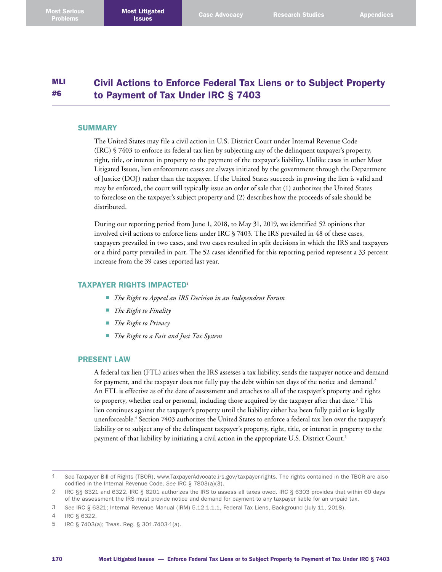#### MLI #6 Civil Actions to Enforce Federal Tax Liens or to Subject Property to Payment of Tax Under IRC § 7403

## **SUMMARY**

The United States may file a civil action in U.S. District Court under Internal Revenue Code (IRC) § 7403 to enforce its federal tax lien by subjecting any of the delinquent taxpayer's property, right, title, or interest in property to the payment of the taxpayer's liability. Unlike cases in other Most Litigated Issues, lien enforcement cases are always initiated by the government through the Department of Justice (DOJ) rather than the taxpayer. If the United States succeeds in proving the lien is valid and may be enforced, the court will typically issue an order of sale that (1) authorizes the United States to foreclose on the taxpayer's subject property and (2) describes how the proceeds of sale should be distributed.

During our reporting period from June 1, 2018, to May 31, 2019, we identified 52 opinions that involved civil actions to enforce liens under IRC § 7403. The IRS prevailed in 48 of these cases, taxpayers prevailed in two cases, and two cases resulted in split decisions in which the IRS and taxpayers or a third party prevailed in part. The 52 cases identified for this reporting period represent a 33 percent increase from the 39 cases reported last year.

## TAXPAYER RIGHTS IMPACTED<sup>1</sup>

- *The Right to Appeal an IRS Decision in an Independent Forum*
- *The Right to Finality*
- *The Right to Privacy*
- *The Right to a Fair and Just Tax System*

## PRESENT LAW

A federal tax lien (FTL) arises when the IRS assesses a tax liability, sends the taxpayer notice and demand for payment, and the taxpayer does not fully pay the debt within ten days of the notice and demand. 2 An FTL is effective as of the date of assessment and attaches to all of the taxpayer's property and rights to property, whether real or personal, including those acquired by the taxpayer after that date.<sup>3</sup> This lien continues against the taxpayer's property until the liability either has been fully paid or is legally unenforceable. 4 Section 7403 authorizes the United States to enforce a federal tax lien over the taxpayer's liability or to subject any of the delinquent taxpayer's property, right, title, or interest in property to the payment of that liability by initiating a civil action in the appropriate U.S. District Court. 5

5 IRC § 7403(a); Treas. Reg. § 301.7403-1(a).

<sup>1</sup> *See* Taxpayer Bill of Rights (TBOR), [www.TaxpayerAdvocate.irs.gov/taxpayer-rights](http://www.TaxpayerAdvocate.irs.gov/taxpayer-rights). The rights contained in the TBOR are also codified in the Internal Revenue Code. *See* IRC § 7803(a)(3).

<sup>2</sup> IRC §§ 6321 and 6322. IRC § 6201 authorizes the IRS to assess all taxes owed. IRC § 6303 provides that within 60 days of the assessment the IRS must provide notice and demand for payment to any taxpayer liable for an unpaid tax.

<sup>3</sup> *See* IRC § 6321; Internal Revenue Manual (IRM) 5.12.1.1.1, Federal Tax Liens, Background (July 11, 2018).

<sup>4</sup> IRC § 6322.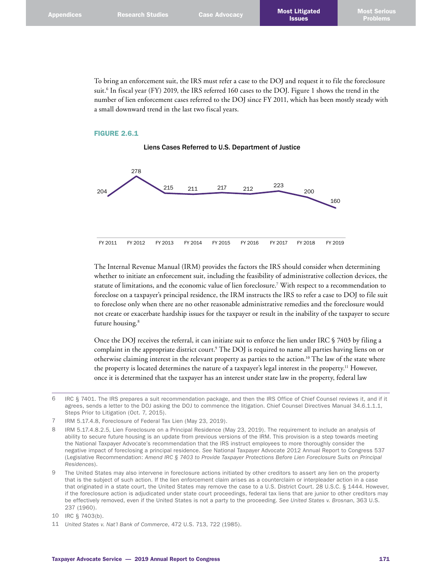To bring an enforcement suit, the IRS must refer a case to the DOJ and request it to file the foreclosure suit. 6 In fiscal year (FY) 2019, the IRS referred 160 cases to the DOJ. Figure 1 shows the trend in the number of lien enforcement cases referred to the DOJ since FY 2011, which has been mostly steady with a small downward trend in the last two fiscal years.

## FIGURE 2.6.1





The Internal Revenue Manual (IRM) provides the factors the IRS should consider when determining whether to initiate an enforcement suit, including the feasibility of administrative collection devices, the statute of limitations, and the economic value of lien foreclosure. 7 With respect to a recommendation to foreclose on a taxpayer's principal residence, the IRM instructs the IRS to refer a case to DOJ to file suit to foreclose only when there are no other reasonable administrative remedies and the foreclosure would not create or exacerbate hardship issues for the taxpayer or result in the inability of the taxpayer to secure future housing. 8

Once the DOJ receives the referral, it can initiate suit to enforce the lien under IRC § 7403 by filing a complaint in the appropriate district court. 9 The DOJ is required to name all parties having liens on or otherwise claiming interest in the relevant property as parties to the action. 10 The law of the state where the property is located determines the nature of a taxpayer's legal interest in the property. 11 However, once it is determined that the taxpayer has an interest under state law in the property, federal law

<sup>6</sup> IRC § 7401. The IRS prepares a suit recommendation package, and then the IRS Office of Chief Counsel reviews it, and if it agrees, sends a letter to the DOJ asking the DOJ to commence the litigation. Chief Counsel Directives Manual 34.6.1.1.1, Steps Prior to Litigation (Oct. 7, 2015).

<sup>7</sup> IRM 5.17.4.8, Foreclosure of Federal Tax Lien (May 23, 2019).

<sup>8</sup> IRM 5.17.4.8.2.5, Lien Foreclosure on a Principal Residence (May 23, 2019). The requirement to include an analysis of ability to secure future housing is an update from previous versions of the IRM. This provision is a step towards meeting the National Taxpayer Advocate's recommendation that the IRS instruct employees to more thoroughly consider the negative impact of foreclosing a principal residence. *See* National Taxpayer Advocate 2012 Annual Report to Congress 537 (Legislative Recommendation: *Amend IRC § 7403 to Provide Taxpayer Protections Before Lien Foreclosure Suits on Principal Residences*).

<sup>9</sup> The United States may also intervene in foreclosure actions initiated by other creditors to assert any lien on the property that is the subject of such action. If the lien enforcement claim arises as a counterclaim or interpleader action in a case that originated in a state court, the United States may remove the case to a U.S. District Court. 28 U.S.C. § 1444. However, if the foreclosure action is adjudicated under state court proceedings, federal tax liens that are junior to other creditors may be effectively removed, even if the United States is not a party to the proceeding. *See United States v. Brosnan*, 363 U.S. 237 (1960).

<sup>10</sup> IRC § 7403(b).

<sup>11</sup> *United States v. Nat'l Bank of Commerce*, 472 U.S. 713, 722 (1985).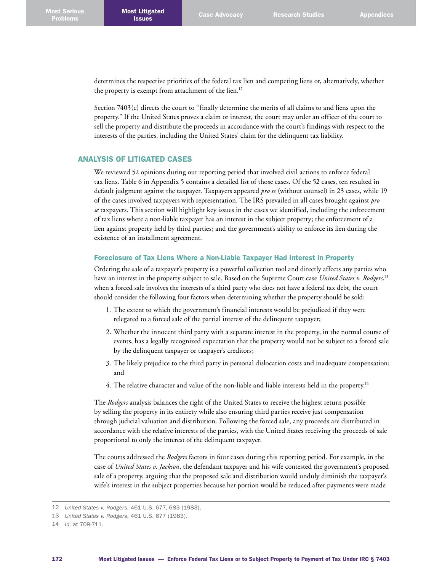determines the respective priorities of the federal tax lien and competing liens or, alternatively, whether the property is exempt from attachment of the lien. 12

Section 7403(c) directs the court to "finally determine the merits of all claims to and liens upon the property." If the United States proves a claim or interest, the court may order an officer of the court to sell the property and distribute the proceeds in accordance with the court's findings with respect to the interests of the parties, including the United States' claim for the delinquent tax liability.

# ANALYSIS OF LITIGATED CASES

We reviewed 52 opinions during our reporting period that involved civil actions to enforce federal tax liens. Table 6 in Appendix 5 contains a detailed list of those cases. Of the 52 cases, ten resulted in default judgment against the taxpayer. Taxpayers appeared *pro se* (without counsel) in 23 cases, while 19 of the cases involved taxpayers with representation. The IRS prevailed in all cases brought against *pro se* taxpayers. This section will highlight key issues in the cases we identified, including the enforcement of tax liens where a non-liable taxpayer has an interest in the subject property; the enforcement of a lien against property held by third parties; and the government's ability to enforce its lien during the existence of an installment agreement.

## Foreclosure of Tax Liens Where a Non-Liable Taxpayer Had Interest in Property

Ordering the sale of a taxpayer's property is a powerful collection tool and directly affects any parties who have an interest in the property subject to sale. Based on the Supreme Court case *United States v. Rodgers*, 13 when a forced sale involves the interests of a third party who does not have a federal tax debt, the court should consider the following four factors when determining whether the property should be sold:

- 1. The extent to which the government's financial interests would be prejudiced if they were relegated to a forced sale of the partial interest of the delinquent taxpayer;
- 2. Whether the innocent third party with a separate interest in the property, in the normal course of events, has a legally recognized expectation that the property would not be subject to a forced sale by the delinquent taxpayer or taxpayer's creditors;
- 3. The likely prejudice to the third party in personal dislocation costs and inadequate compensation; and
- 4. The relative character and value of the non-liable and liable interests held in the property. 14

The *Rodgers* analysis balances the right of the United States to receive the highest return possible by selling the property in its entirety while also ensuring third parties receive just compensation through judicial valuation and distribution. Following the forced sale, any proceeds are distributed in accordance with the relative interests of the parties, with the United States receiving the proceeds of sale proportional to only the interest of the delinquent taxpayer.

The courts addressed the *Rodgers* factors in four cases during this reporting period. For example, in the case of *United States v. Jackson*, the defendant taxpayer and his wife contested the government's proposed sale of a property, arguing that the proposed sale and distribution would unduly diminish the taxpayer's wife's interest in the subject properties because her portion would be reduced after payments were made

<sup>12</sup> *United States v. Rodgers*, 461 U.S. 677, 683 (1983).

<sup>13</sup> *United States v. Rodgers*, 461 U.S. 677 (1983).

<sup>14</sup> *Id.* at 709-711.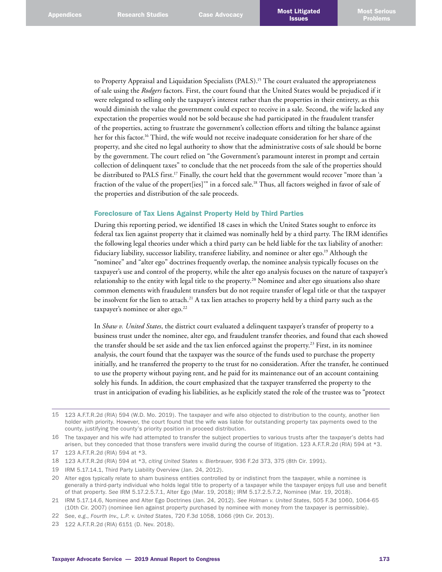to Property Appraisal and Liquidation Specialists (PALS). 15 The court evaluated the appropriateness of sale using the *Rodgers* factors. First, the court found that the United States would be prejudiced if it were relegated to selling only the taxpayer's interest rather than the properties in their entirety, as this would diminish the value the government could expect to receive in a sale. Second, the wife lacked any expectation the properties would not be sold because she had participated in the fraudulent transfer of the properties, acting to frustrate the government's collection efforts and tilting the balance against her for this factor. 16 Third, the wife would not receive inadequate consideration for her share of the property, and she cited no legal authority to show that the administrative costs of sale should be borne by the government. The court relied on "the Government's paramount interest in prompt and certain collection of delinquent taxes" to conclude that the net proceeds from the sale of the properties should be distributed to PALS first. 17 Finally, the court held that the government would recover "more than 'a fraction of the value of the propert[ies]'" in a forced sale. 18 Thus, all factors weighed in favor of sale of the properties and distribution of the sale proceeds.

## Foreclosure of Tax Liens Against Property Held by Third Parties

During this reporting period, we identified 18 cases in which the United States sought to enforce its federal tax lien against property that it claimed was nominally held by a third party. The IRM identifies the following legal theories under which a third party can be held liable for the tax liability of another: fiduciary liability, successor liability, transferee liability, and nominee or alter ego. 19 Although the "nominee" and "alter ego" doctrines frequently overlap, the nominee analysis typically focuses on the taxpayer's use and control of the property, while the alter ego analysis focuses on the nature of taxpayer's relationship to the entity with legal title to the property. 20 Nominee and alter ego situations also share common elements with fraudulent transfers but do not require transfer of legal title or that the taxpayer be insolvent for the lien to attach.<sup>21</sup> A tax lien attaches to property held by a third party such as the taxpayer's nominee or alter ego.<sup>22</sup>

In *Shaw v. United States*, the district court evaluated a delinquent taxpayer's transfer of property to a business trust under the nominee, alter ego, and fraudulent transfer theories, and found that each showed the transfer should be set aside and the tax lien enforced against the property. 23 First, in its nominee analysis, the court found that the taxpayer was the source of the funds used to purchase the property initially, and he transferred the property to the trust for no consideration. After the transfer, he continued to use the property without paying rent, and he paid for its maintenance out of an account containing solely his funds. In addition, the court emphasized that the taxpayer transferred the property to the trust in anticipation of evading his liabilities, as he explicitly stated the role of the trustee was to "protect

- 19 IRM 5.17.14.1, Third Party Liability Overview (Jan. 24, 2012).
- 20 Alter egos typically relate to sham business entities controlled by or indistinct from the taxpayer, while a nominee is generally a third-party individual who holds legal title to property of a taxpayer while the taxpayer enjoys full use and benefit of that property. *See* IRM 5.17.2.5.7.1, Alter Ego (Mar. 19, 2018); IRM 5.17.2.5.7.2, Nominee (Mar. 19, 2018).

<sup>15</sup> 123 A.F.T.R.2d (RIA) 594 (W.D. Mo. 2019). The taxpayer and wife also objected to distribution to the county, another lien holder with priority. However, the court found that the wife was liable for outstanding property tax payments owed to the county, justifying the county's priority position in proceed distribution.

<sup>16</sup> The taxpayer and his wife had attempted to transfer the subject properties to various trusts after the taxpayer's debts had arisen, but they conceded that those transfers were invalid during the course of litigation. 123 A.F.T.R.2d (RIA) 594 at \*3.

<sup>17</sup> 123 A.F.T.R.2d (RIA) 594 at \*3.

<sup>18</sup> 123 A.F.T.R.2d (RIA) 594 at \*3, *citing United States v. Bierbrauer*, 936 F.2d 373, 375 (8th Cir. 1991).

<sup>21</sup> IRM 5.17.14.6, Nominee and Alter Ego Doctrines (Jan. 24, 2012). *See Holman v. United States*, 505 F.3d 1060, 1064-65 (10th Cir. 2007) (nominee lien against property purchased by nominee with money from the taxpayer is permissible).

<sup>22</sup> *See*, *e.g*., *Fourth Inv., L.P. v. United States*, 720 F.3d 1058, 1066 (9th Cir. 2013).

<sup>23</sup> 122 A.F.T.R.2d (RIA) 6151 (D. Nev. 2018).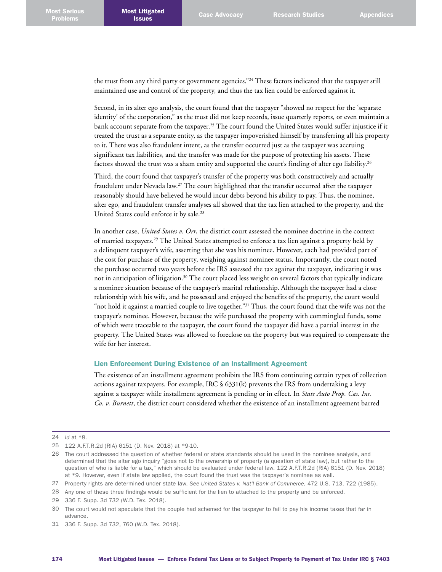the trust from any third party or government agencies."<sup>24</sup> These factors indicated that the taxpayer still maintained use and control of the property, and thus the tax lien could be enforced against it.

Second, in its alter ego analysis, the court found that the taxpayer "showed no respect for the 'separate identity' of the corporation," as the trust did not keep records, issue quarterly reports, or even maintain a bank account separate from the taxpayer. 25 The court found the United States would suffer injustice if it treated the trust as a separate entity, as the taxpayer impoverished himself by transferring all his property to it. There was also fraudulent intent, as the transfer occurred just as the taxpayer was accruing significant tax liabilities, and the transfer was made for the purpose of protecting his assets. These factors showed the trust was a sham entity and supported the court's finding of alter ego liability.<sup>26</sup>

Third, the court found that taxpayer's transfer of the property was both constructively and actually fraudulent under Nevada law.<sup>27</sup> The court highlighted that the transfer occurred after the taxpayer reasonably should have believed he would incur debts beyond his ability to pay. Thus, the nominee, alter ego, and fraudulent transfer analyses all showed that the tax lien attached to the property, and the United States could enforce it by sale. 28

In another case, *United States v. Orr*, the district court assessed the nominee doctrine in the context of married taxpayers. 29 The United States attempted to enforce a tax lien against a property held by a delinquent taxpayer's wife, asserting that she was his nominee. However, each had provided part of the cost for purchase of the property, weighing against nominee status. Importantly, the court noted the purchase occurred two years before the IRS assessed the tax against the taxpayer, indicating it was not in anticipation of litigation. 30 The court placed less weight on several factors that typically indicate a nominee situation because of the taxpayer's marital relationship. Although the taxpayer had a close relationship with his wife, and he possessed and enjoyed the benefits of the property, the court would "not hold it against a married couple to live together."<sup>31</sup> Thus, the court found that the wife was not the taxpayer's nominee. However, because the wife purchased the property with commingled funds, some of which were traceable to the taxpayer, the court found the taxpayer did have a partial interest in the property. The United States was allowed to foreclose on the property but was required to compensate the wife for her interest.

## Lien Enforcement During Existence of an Installment Agreement

The existence of an installment agreement prohibits the IRS from continuing certain types of collection actions against taxpayers. For example, IRC  $\S$  6331(k) prevents the IRS from undertaking a levy against a taxpayer while installment agreement is pending or in effect. In *State Auto Prop. Cas. Ins. Co. v. Burnett*, the district court considered whether the existence of an installment agreement barred

<sup>24</sup> *Id* at \*8.

<sup>25</sup> 122 A.F.T.R.2d (RIA) 6151 (D. Nev. 2018) at \*9-10.

<sup>26</sup> The court addressed the question of whether federal or state standards should be used in the nominee analysis, and determined that the alter ego inquiry "goes not to the ownership of property (a question of state law), but rather to the question of who is liable for a tax," which should be evaluated under federal law. 122 A.F.T.R.2d (RIA) 6151 (D. Nev. 2018) at \*9. However, even if state law applied, the court found the trust was the taxpayer's nominee as well.

<sup>27</sup> Property rights are determined under state law. *See United States v. Nat'l Bank of Commerce*, 472 U.S. 713, 722 (1985).

<sup>28</sup> Any one of these three findings would be sufficient for the lien to attached to the property and be enforced.

<sup>29</sup> 336 F. Supp. 3d 732 (W.D. Tex. 2018).

<sup>30</sup> The court would not speculate that the couple had schemed for the taxpayer to fail to pay his income taxes that far in advance.

<sup>31</sup> 336 F. Supp. 3d 732, 760 (W.D. Tex. 2018).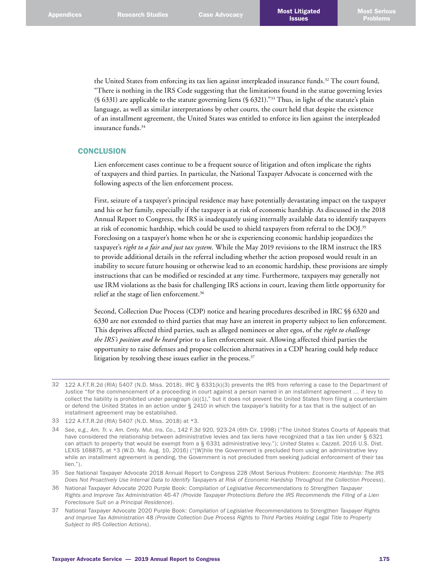the United States from enforcing its tax lien against interpleaded insurance funds. 32 The court found, "There is nothing in the IRS Code suggesting that the limitations found in the statue governing levies  $(S 6331)$  are applicable to the statute governing liens  $(S 6321).$ <sup>33</sup> Thus, in light of the statute's plain language, as well as similar interpretations by other courts, the court held that despite the existence of an installment agreement, the United States was entitled to enforce its lien against the interpleaded insurance funds. 34

# **CONCLUSION**

Lien enforcement cases continue to be a frequent source of litigation and often implicate the rights of taxpayers and third parties. In particular, the National Taxpayer Advocate is concerned with the following aspects of the lien enforcement process.

First, seizure of a taxpayer's principal residence may have potentially devastating impact on the taxpayer and his or her family, especially if the taxpayer is at risk of economic hardship. As discussed in the 2018 Annual Report to Congress, the IRS is inadequately using internally available data to identify taxpayers at risk of economic hardship, which could be used to shield taxpayers from referral to the DOJ. 35 Foreclosing on a taxpayer's home when he or she is experiencing economic hardship jeopardizes the taxpayer's *right to a fair and just tax system*. While the May 2019 revisions to the IRM instruct the IRS to provide additional details in the referral including whether the action proposed would result in an inability to secure future housing or otherwise lead to an economic hardship, these provisions are simply instructions that can be modified or rescinded at any time. Furthermore, taxpayers may generally not use IRM violations as the basis for challenging IRS actions in court, leaving them little opportunity for relief at the stage of lien enforcement. 36

Second, Collection Due Process (CDP) notice and hearing procedures described in IRC §§ 6320 and 6330 are not extended to third parties that may have an interest in property subject to lien enforcement. This deprives affected third parties, such as alleged nominees or alter egos, of the *right to challenge the IRS's position and be heard* prior to a lien enforcement suit. Allowing affected third parties the opportunity to raise defenses and propose collection alternatives in a CDP hearing could help reduce litigation by resolving these issues earlier in the process. 37

37 National Taxpayer Advocate 2020 Purple Book: *Compilation of Legislative Recommendations to Strengthen Taxpayer Rights and Improve Tax Administration* 48 *(Provide Collection Due Process Rights to Third Parties Holding Legal Title to Property Subject to IRS Collection Actions*).

<sup>32</sup> 122 A.F.T.R.2d (RIA) 5407 (N.D. Miss. 2018). IRC § 6331(k)(3) prevents the IRS from referring a case to the Department of Justice "for the commencement of a proceeding in court against a person named in an installment agreement … if levy to collect the liability is prohibited under paragraph (a)(1)," but it does not prevent the United States from filing a counterclaim or defend the United States in an action under § 2410 in which the taxpayer's liability for a tax that is the subject of an installment agreement may be established.

<sup>33</sup> 122 A.F.T.R.2d (RIA) 5407 (N.D. Miss. 2018) at \*3.

<sup>34</sup> *See*, *e.g.*, *Am. Tr. v. Am. Cmty. Mut. Ins. Co*., 142 F.3d 920, 923-24 (6th Cir. 1998) ("The United States Courts of Appeals that have considered the relationship between administrative levies and tax liens have recognized that a tax lien under § 6321 can attach to property that would be exempt from a § 6331 administrative levy."); *United States v. Cazzell*, 2016 U.S. Dist. LEXIS 168875, at \*3 (W.D. Mo. Aug. 10, 2016) ("[W]hile the Government is precluded from using an administrative levy while an installment agreement is pending, the Government is not precluded from seeking judicial enforcement of their tax lien.").

<sup>35</sup> *See* National Taxpayer Advocate 2018 Annual Report to Congress 228 (Most Serious Problem: *Economic Hardship: The IRS Does Not Proactively Use Internal Data to Identify Taxpayers at Risk of Economic Hardship Throughout the Collection Process*).

<sup>36</sup> National Taxpayer Advocate 2020 Purple Book: *Compilation of Legislative Recommendations to Strengthen Taxpayer Rights and Improve Tax Administration* 46-47 *(Provide Taxpayer Protections Before the IRS Recommends the Filing of a Lien Foreclosure Suit on a Principal Residence*).